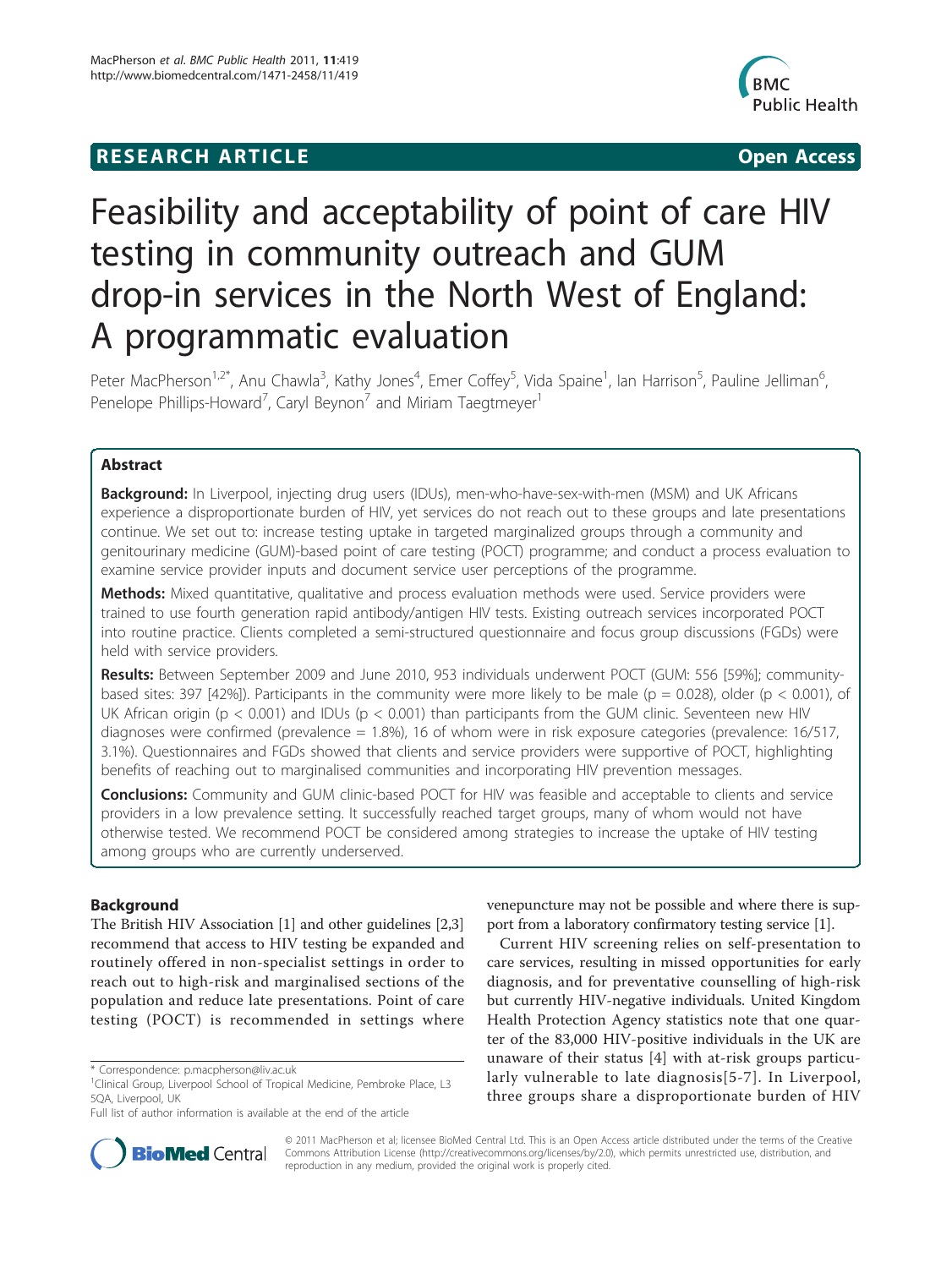# **RESEARCH ARTICLE Example 2018 CONSIDERING ACCESS**



# Feasibility and acceptability of point of care HIV testing in community outreach and GUM drop-in services in the North West of England: A programmatic evaluation

Peter MacPherson<sup>1,2\*</sup>, Anu Chawla<sup>3</sup>, Kathy Jones<sup>4</sup>, Emer Coffey<sup>5</sup>, Vida Spaine<sup>1</sup>, Ian Harrison<sup>5</sup>, Pauline Jelliman<sup>6</sup> , Penelope Phillips-Howard<sup>7</sup>, Caryl Beynon<sup>7</sup> and Miriam Taegtmeyer<sup>1</sup>

# Abstract

Background: In Liverpool, injecting drug users (IDUs), men-who-have-sex-with-men (MSM) and UK Africans experience a disproportionate burden of HIV, yet services do not reach out to these groups and late presentations continue. We set out to: increase testing uptake in targeted marginalized groups through a community and genitourinary medicine (GUM)-based point of care testing (POCT) programme; and conduct a process evaluation to examine service provider inputs and document service user perceptions of the programme.

Methods: Mixed quantitative, qualitative and process evaluation methods were used. Service providers were trained to use fourth generation rapid antibody/antigen HIV tests. Existing outreach services incorporated POCT into routine practice. Clients completed a semi-structured questionnaire and focus group discussions (FGDs) were held with service providers.

Results: Between September 2009 and June 2010, 953 individuals underwent POCT (GUM: 556 [59%]; communitybased sites: 397 [42%]). Participants in the community were more likely to be male ( $p = 0.028$ ), older ( $p < 0.001$ ), of UK African origin ( $p < 0.001$ ) and IDUs ( $p < 0.001$ ) than participants from the GUM clinic. Seventeen new HIV diagnoses were confirmed (prevalence = 1.8%), 16 of whom were in risk exposure categories (prevalence: 16/517, 3.1%). Questionnaires and FGDs showed that clients and service providers were supportive of POCT, highlighting benefits of reaching out to marginalised communities and incorporating HIV prevention messages.

**Conclusions:** Community and GUM clinic-based POCT for HIV was feasible and acceptable to clients and service providers in a low prevalence setting. It successfully reached target groups, many of whom would not have otherwise tested. We recommend POCT be considered among strategies to increase the uptake of HIV testing among groups who are currently underserved.

# Background

The British HIV Association [\[1](#page-6-0)] and other guidelines [[2](#page-6-0),[3](#page-6-0)] recommend that access to HIV testing be expanded and routinely offered in non-specialist settings in order to reach out to high-risk and marginalised sections of the population and reduce late presentations. Point of care testing (POCT) is recommended in settings where

venepuncture may not be possible and where there is support from a laboratory confirmatory testing service [\[1](#page-6-0)].

Current HIV screening relies on self-presentation to care services, resulting in missed opportunities for early diagnosis, and for preventative counselling of high-risk but currently HIV-negative individuals. United Kingdom Health Protection Agency statistics note that one quarter of the 83,000 HIV-positive individuals in the UK are unaware of their status [\[4](#page-6-0)] with at-risk groups particularly vulnerable to late diagnosis[[5](#page-6-0)-[7\]](#page-7-0). In Liverpool, three groups share a disproportionate burden of HIV



© 2011 MacPherson et al; licensee BioMed Central Ltd. This is an Open Access article distributed under the terms of the Creative Commons Attribution License [\(http://creativecommons.org/licenses/by/2.0](http://creativecommons.org/licenses/by/2.0)), which permits unrestricted use, distribution, and reproduction in any medium, provided the original work is properly cited.

<sup>\*</sup> Correspondence: [p.macpherson@liv.ac.uk](mailto:p.macpherson@liv.ac.uk)

<sup>&</sup>lt;sup>1</sup>Clinical Group, Liverpool School of Tropical Medicine, Pembroke Place, L3 5QA, Liverpool, UK

Full list of author information is available at the end of the article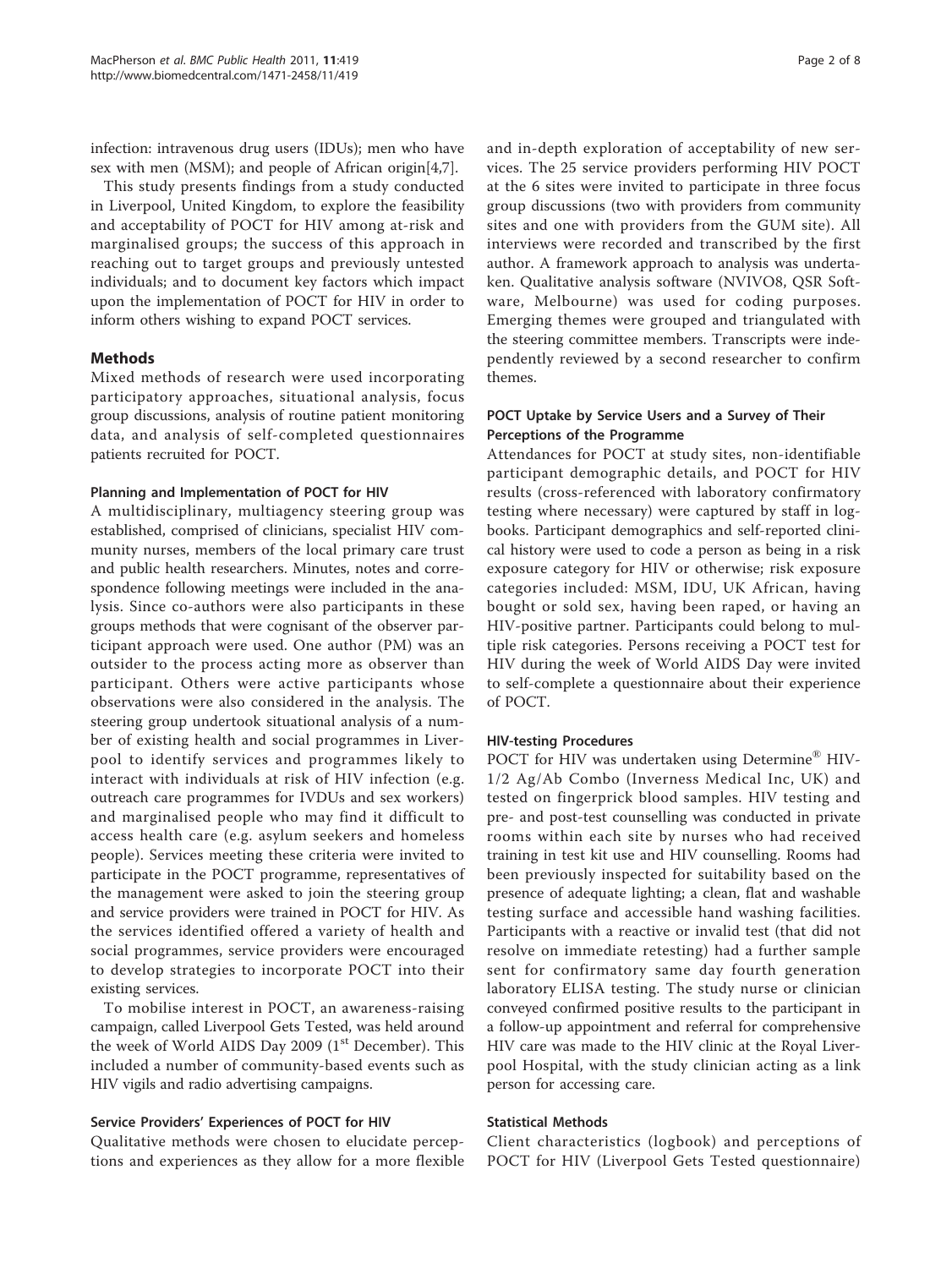infection: intravenous drug users (IDUs); men who have sex with men (MSM); and people of African origin[[4,](#page-6-0)[7\]](#page-7-0).

This study presents findings from a study conducted in Liverpool, United Kingdom, to explore the feasibility and acceptability of POCT for HIV among at-risk and marginalised groups; the success of this approach in reaching out to target groups and previously untested individuals; and to document key factors which impact upon the implementation of POCT for HIV in order to inform others wishing to expand POCT services.

# Methods

Mixed methods of research were used incorporating participatory approaches, situational analysis, focus group discussions, analysis of routine patient monitoring data, and analysis of self-completed questionnaires patients recruited for POCT.

#### Planning and Implementation of POCT for HIV

A multidisciplinary, multiagency steering group was established, comprised of clinicians, specialist HIV community nurses, members of the local primary care trust and public health researchers. Minutes, notes and correspondence following meetings were included in the analysis. Since co-authors were also participants in these groups methods that were cognisant of the observer participant approach were used. One author (PM) was an outsider to the process acting more as observer than participant. Others were active participants whose observations were also considered in the analysis. The steering group undertook situational analysis of a number of existing health and social programmes in Liverpool to identify services and programmes likely to interact with individuals at risk of HIV infection (e.g. outreach care programmes for IVDUs and sex workers) and marginalised people who may find it difficult to access health care (e.g. asylum seekers and homeless people). Services meeting these criteria were invited to participate in the POCT programme, representatives of the management were asked to join the steering group and service providers were trained in POCT for HIV. As the services identified offered a variety of health and social programmes, service providers were encouraged to develop strategies to incorporate POCT into their existing services.

To mobilise interest in POCT, an awareness-raising campaign, called Liverpool Gets Tested, was held around the week of World AIDS Day 2009 (1<sup>st</sup> December). This included a number of community-based events such as HIV vigils and radio advertising campaigns.

#### Service Providers' Experiences of POCT for HIV

Qualitative methods were chosen to elucidate perceptions and experiences as they allow for a more flexible and in-depth exploration of acceptability of new services. The 25 service providers performing HIV POCT at the 6 sites were invited to participate in three focus group discussions (two with providers from community sites and one with providers from the GUM site). All interviews were recorded and transcribed by the first author. A framework approach to analysis was undertaken. Qualitative analysis software (NVIVO8, QSR Software, Melbourne) was used for coding purposes. Emerging themes were grouped and triangulated with the steering committee members. Transcripts were independently reviewed by a second researcher to confirm themes.

#### POCT Uptake by Service Users and a Survey of Their Perceptions of the Programme

Attendances for POCT at study sites, non-identifiable participant demographic details, and POCT for HIV results (cross-referenced with laboratory confirmatory testing where necessary) were captured by staff in logbooks. Participant demographics and self-reported clinical history were used to code a person as being in a risk exposure category for HIV or otherwise; risk exposure categories included: MSM, IDU, UK African, having bought or sold sex, having been raped, or having an HIV-positive partner. Participants could belong to multiple risk categories. Persons receiving a POCT test for HIV during the week of World AIDS Day were invited to self-complete a questionnaire about their experience of POCT.

#### HIV-testing Procedures

POCT for HIV was undertaken using Determine<sup>®</sup> HIV-1/2 Ag/Ab Combo (Inverness Medical Inc, UK) and tested on fingerprick blood samples. HIV testing and pre- and post-test counselling was conducted in private rooms within each site by nurses who had received training in test kit use and HIV counselling. Rooms had been previously inspected for suitability based on the presence of adequate lighting; a clean, flat and washable testing surface and accessible hand washing facilities. Participants with a reactive or invalid test (that did not resolve on immediate retesting) had a further sample sent for confirmatory same day fourth generation laboratory ELISA testing. The study nurse or clinician conveyed confirmed positive results to the participant in a follow-up appointment and referral for comprehensive HIV care was made to the HIV clinic at the Royal Liverpool Hospital, with the study clinician acting as a link person for accessing care.

#### Statistical Methods

Client characteristics (logbook) and perceptions of POCT for HIV (Liverpool Gets Tested questionnaire)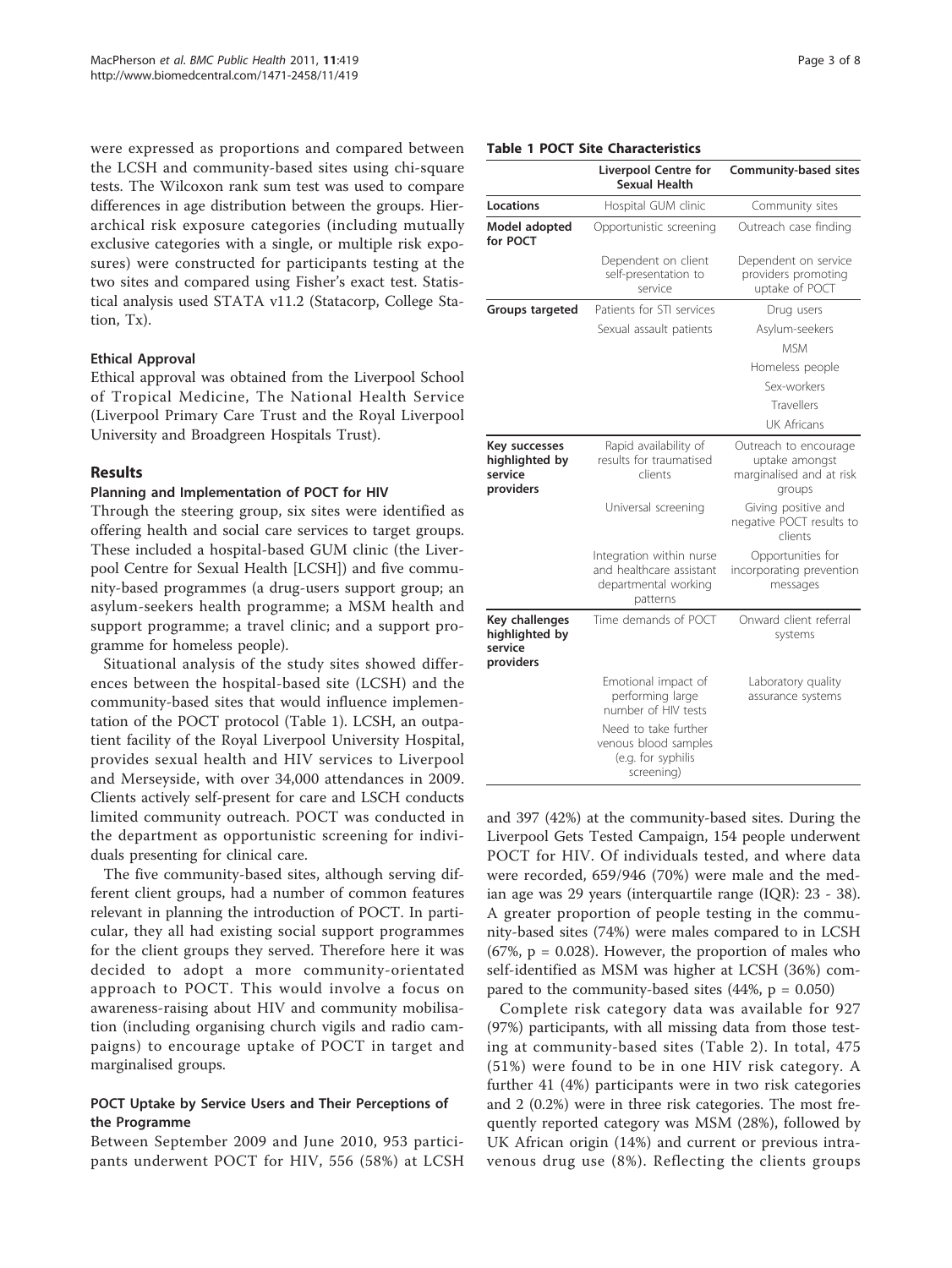were expressed as proportions and compared between the LCSH and community-based sites using chi-square tests. The Wilcoxon rank sum test was used to compare differences in age distribution between the groups. Hierarchical risk exposure categories (including mutually exclusive categories with a single, or multiple risk exposures) were constructed for participants testing at the two sites and compared using Fisher's exact test. Statistical analysis used STATA v11.2 (Statacorp, College Station, Tx).

# Ethical Approval

Ethical approval was obtained from the Liverpool School of Tropical Medicine, The National Health Service (Liverpool Primary Care Trust and the Royal Liverpool University and Broadgreen Hospitals Trust).

# Results

# Planning and Implementation of POCT for HIV

Through the steering group, six sites were identified as offering health and social care services to target groups. These included a hospital-based GUM clinic (the Liverpool Centre for Sexual Health [LCSH]) and five community-based programmes (a drug-users support group; an asylum-seekers health programme; a MSM health and support programme; a travel clinic; and a support programme for homeless people).

Situational analysis of the study sites showed differences between the hospital-based site (LCSH) and the community-based sites that would influence implementation of the POCT protocol (Table 1). LCSH, an outpatient facility of the Royal Liverpool University Hospital, provides sexual health and HIV services to Liverpool and Merseyside, with over 34,000 attendances in 2009. Clients actively self-present for care and LSCH conducts limited community outreach. POCT was conducted in the department as opportunistic screening for individuals presenting for clinical care.

The five community-based sites, although serving different client groups, had a number of common features relevant in planning the introduction of POCT. In particular, they all had existing social support programmes for the client groups they served. Therefore here it was decided to adopt a more community-orientated approach to POCT. This would involve a focus on awareness-raising about HIV and community mobilisation (including organising church vigils and radio campaigns) to encourage uptake of POCT in target and marginalised groups.

# POCT Uptake by Service Users and Their Perceptions of the Programme

Between September 2009 and June 2010, 953 participants underwent POCT for HIV, 556 (58%) at LCSH

#### Table 1 POCT Site Characteristics

|                                                          | <b>Liverpool Centre for</b><br><b>Sexual Health</b>                                      | Community-based sites                                                         |
|----------------------------------------------------------|------------------------------------------------------------------------------------------|-------------------------------------------------------------------------------|
| Locations                                                | Hospital GUM clinic                                                                      | Community sites                                                               |
| Model adopted<br>for POCT                                | Opportunistic screening                                                                  | Outreach case finding                                                         |
|                                                          | Dependent on client<br>self-presentation to<br>service                                   | Dependent on service<br>providers promoting<br>uptake of POCT                 |
| Groups targeted                                          | Patients for STI services                                                                | Drug users                                                                    |
|                                                          | Sexual assault patients                                                                  | Asylum-seekers                                                                |
|                                                          |                                                                                          | <b>MSM</b>                                                                    |
|                                                          |                                                                                          | Homeless people                                                               |
|                                                          |                                                                                          | Sex-workers                                                                   |
|                                                          |                                                                                          | <b>Travellers</b>                                                             |
|                                                          |                                                                                          | <b>UK Africans</b>                                                            |
| Key successes<br>highlighted by<br>service<br>providers  | Rapid availability of<br>results for traumatised<br>clients                              | Outreach to encourage<br>uptake amongst<br>marginalised and at risk<br>groups |
|                                                          | Universal screening                                                                      | Giving positive and<br>negative POCT results to<br>clients                    |
|                                                          | Integration within nurse<br>and healthcare assistant<br>departmental working<br>patterns | Opportunities for<br>incorporating prevention<br>messages                     |
| Key challenges<br>highlighted by<br>service<br>providers | Time demands of POCT                                                                     | Onward client referral<br>systems                                             |
|                                                          | Emotional impact of<br>performing large<br>number of HIV tests                           | Laboratory quality<br>assurance systems                                       |
|                                                          | Need to take further<br>venous blood samples<br>(e.g. for syphilis<br>screening)         |                                                                               |

and 397 (42%) at the community-based sites. During the Liverpool Gets Tested Campaign, 154 people underwent POCT for HIV. Of individuals tested, and where data were recorded, 659/946 (70%) were male and the median age was 29 years (interquartile range (IQR): 23 - 38). A greater proportion of people testing in the community-based sites (74%) were males compared to in LCSH (67%,  $p = 0.028$ ). However, the proportion of males who self-identified as MSM was higher at LCSH (36%) compared to the community-based sites  $(44\%, p = 0.050)$ 

Complete risk category data was available for 927 (97%) participants, with all missing data from those testing at community-based sites (Table [2\)](#page-3-0). In total, 475 (51%) were found to be in one HIV risk category. A further 41 (4%) participants were in two risk categories and 2 (0.2%) were in three risk categories. The most frequently reported category was MSM (28%), followed by UK African origin (14%) and current or previous intravenous drug use (8%). Reflecting the clients groups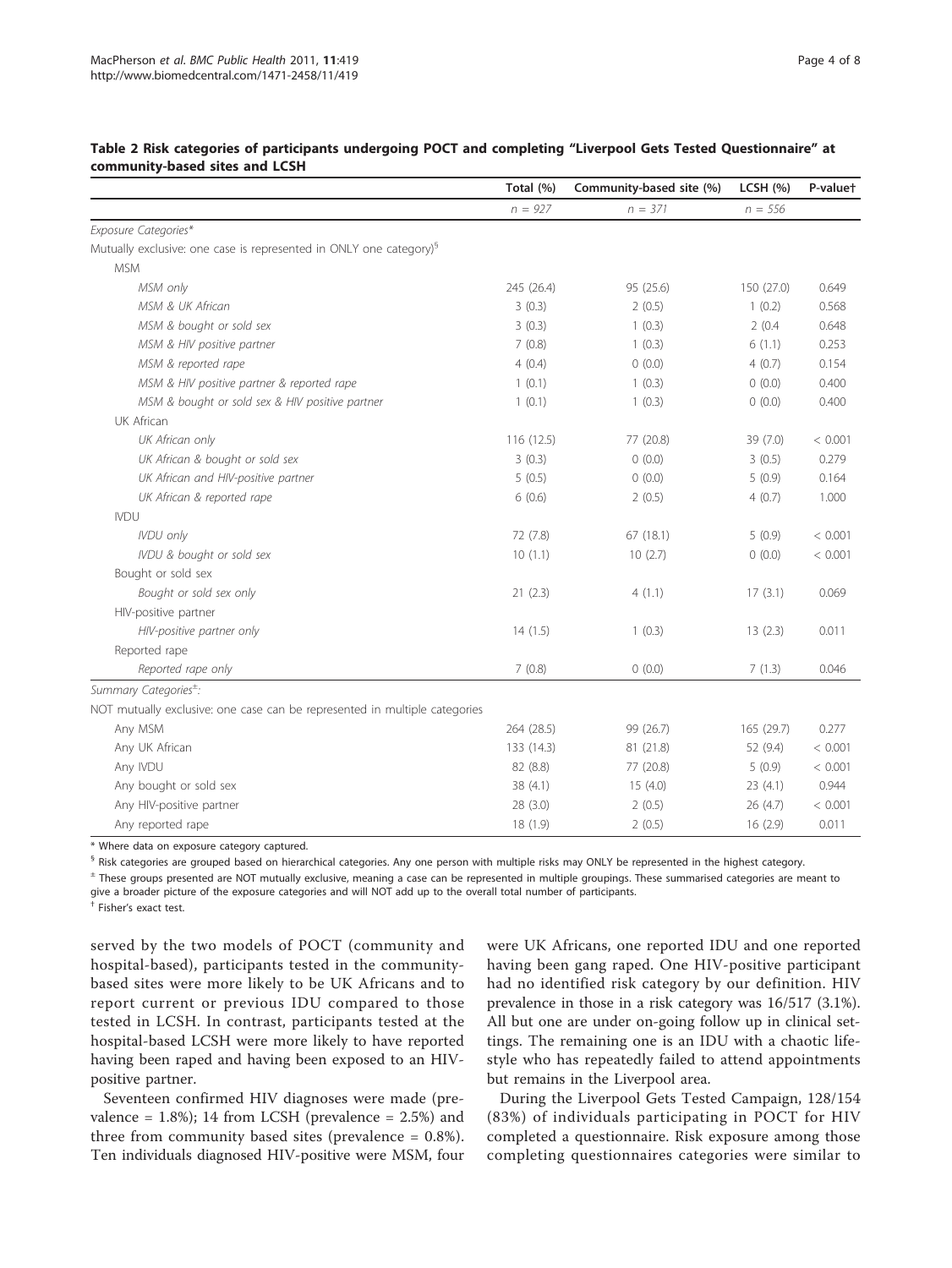|                                                                                | Total (%)  | Community-based site (%) | $LCSH$ (%) | P-valuet |
|--------------------------------------------------------------------------------|------------|--------------------------|------------|----------|
|                                                                                | $n = 927$  | $n = 371$                | $n = 556$  |          |
| Exposure Categories*                                                           |            |                          |            |          |
| Mutually exclusive: one case is represented in ONLY one category) <sup>§</sup> |            |                          |            |          |
| <b>MSM</b>                                                                     |            |                          |            |          |
| MSM only                                                                       | 245 (26.4) | 95 (25.6)                | 150 (27.0) | 0.649    |
| MSM & UK African                                                               | 3(0.3)     | 2(0.5)                   | 1(0.2)     | 0.568    |
| MSM & bought or sold sex                                                       | 3(0.3)     | 1(0.3)                   | 2(0.4)     | 0.648    |
| MSM & HIV positive partner                                                     | 7(0.8)     | 1(0.3)                   | 6(1.1)     | 0.253    |
| MSM & reported rape                                                            | 4(0.4)     | 0(0.0)                   | 4(0.7)     | 0.154    |
| MSM & HIV positive partner & reported rape                                     | 1(0.1)     | 1(0.3)                   | 0(0.0)     | 0.400    |
| MSM & bought or sold sex & HIV positive partner                                | 1(0.1)     | 1(0.3)                   | 0(0.0)     | 0.400    |
| UK African                                                                     |            |                          |            |          |
| UK African only                                                                | 116 (12.5) | 77 (20.8)                | 39 (7.0)   | < 0.001  |
| UK African & bought or sold sex                                                | 3(0.3)     | 0(0.0)                   | 3(0.5)     | 0.279    |
| UK African and HIV-positive partner                                            | 5(0.5)     | 0(0.0)                   | 5(0.9)     | 0.164    |
| UK African & reported rape                                                     | 6(0.6)     | 2(0.5)                   | 4(0.7)     | 1.000    |
| <b>IVDU</b>                                                                    |            |                          |            |          |
| <b>NDU</b> only                                                                | 72 (7.8)   | 67 (18.1)                | 5(0.9)     | < 0.001  |
| <b>NDU &amp; bought or sold sex</b>                                            | 10(1.1)    | 10(2.7)                  | 0(0.0)     | < 0.001  |
| Bought or sold sex                                                             |            |                          |            |          |
| Bought or sold sex only                                                        | 21(2.3)    | 4(1.1)                   | 17(3.1)    | 0.069    |
| HIV-positive partner                                                           |            |                          |            |          |
| HIV-positive partner only                                                      | 14(1.5)    | 1(0.3)                   | 13(2.3)    | 0.011    |
| Reported rape                                                                  |            |                          |            |          |
| Reported rape only                                                             | 7(0.8)     | 0(0.0)                   | 7(1.3)     | 0.046    |
| Summary Categories <sup>±</sup> :                                              |            |                          |            |          |
| NOT mutually exclusive: one case can be represented in multiple categories     |            |                          |            |          |
| Any MSM                                                                        | 264 (28.5) | 99 (26.7)                | 165 (29.7) | 0.277    |
| Any UK African                                                                 | 133 (14.3) | 81 (21.8)                | 52 (9.4)   | < 0.001  |
| Any IVDU                                                                       | 82 (8.8)   | 77 (20.8)                | 5(0.9)     | < 0.001  |
| Any bought or sold sex                                                         | 38 (4.1)   | 15(4.0)                  | 23(4.1)    | 0.944    |
| Any HIV-positive partner                                                       | 28 (3.0)   | 2(0.5)                   | 26 (4.7)   | < 0.001  |
| Any reported rape                                                              | 18 (1.9)   | 2(0.5)                   | 16(2.9)    | 0.011    |

### <span id="page-3-0"></span>Table 2 Risk categories of participants undergoing POCT and completing "Liverpool Gets Tested Questionnaire" at community-based sites and LCSH

\* Where data on exposure category captured.

§ Risk categories are grouped based on hierarchical categories. Any one person with multiple risks may ONLY be represented in the highest category.

<sup>±</sup> These groups presented are NOT mutually exclusive, meaning a case can be represented in multiple groupings. These summarised categories are meant to give a broader picture of the exposure categories and will NOT add up to the overall total number of participants.

† Fisher's exact test.

served by the two models of POCT (community and hospital-based), participants tested in the communitybased sites were more likely to be UK Africans and to report current or previous IDU compared to those tested in LCSH. In contrast, participants tested at the hospital-based LCSH were more likely to have reported having been raped and having been exposed to an HIVpositive partner.

Seventeen confirmed HIV diagnoses were made (prevalence =  $1.8\%$ ); 14 from LCSH (prevalence =  $2.5\%$ ) and three from community based sites (prevalence  $= 0.8\%$ ). Ten individuals diagnosed HIV-positive were MSM, four

were UK Africans, one reported IDU and one reported having been gang raped. One HIV-positive participant had no identified risk category by our definition. HIV prevalence in those in a risk category was 16/517 (3.1%). All but one are under on-going follow up in clinical settings. The remaining one is an IDU with a chaotic lifestyle who has repeatedly failed to attend appointments but remains in the Liverpool area.

During the Liverpool Gets Tested Campaign, 128/154 (83%) of individuals participating in POCT for HIV completed a questionnaire. Risk exposure among those completing questionnaires categories were similar to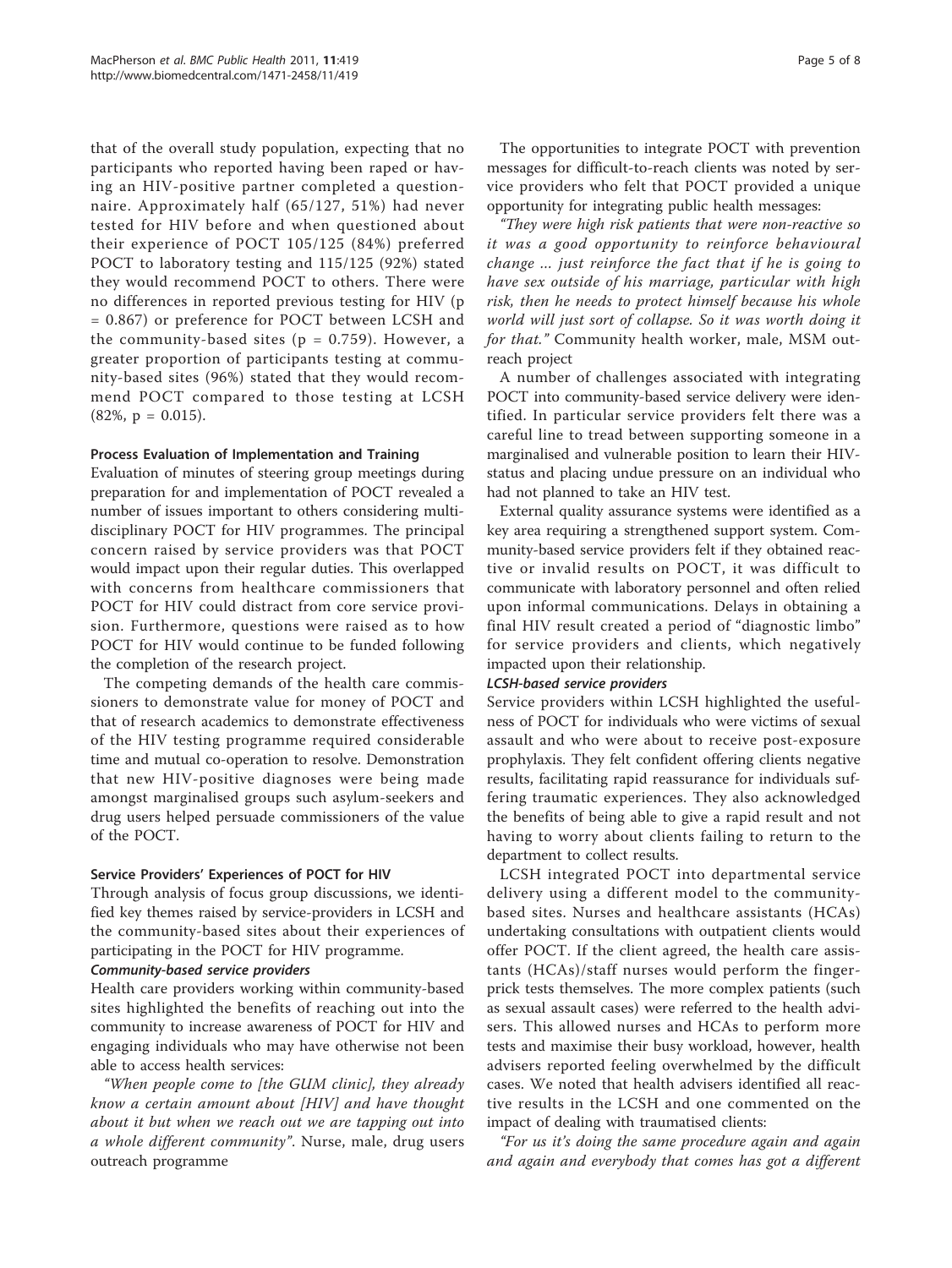that of the overall study population, expecting that no participants who reported having been raped or having an HIV-positive partner completed a questionnaire. Approximately half (65/127, 51%) had never tested for HIV before and when questioned about their experience of POCT 105/125 (84%) preferred POCT to laboratory testing and 115/125 (92%) stated they would recommend POCT to others. There were no differences in reported previous testing for HIV (p = 0.867) or preference for POCT between LCSH and the community-based sites ( $p = 0.759$ ). However, a greater proportion of participants testing at community-based sites (96%) stated that they would recommend POCT compared to those testing at LCSH  $(82\%, p = 0.015).$ 

#### Process Evaluation of Implementation and Training

Evaluation of minutes of steering group meetings during preparation for and implementation of POCT revealed a number of issues important to others considering multidisciplinary POCT for HIV programmes. The principal concern raised by service providers was that POCT would impact upon their regular duties. This overlapped with concerns from healthcare commissioners that POCT for HIV could distract from core service provision. Furthermore, questions were raised as to how POCT for HIV would continue to be funded following the completion of the research project.

The competing demands of the health care commissioners to demonstrate value for money of POCT and that of research academics to demonstrate effectiveness of the HIV testing programme required considerable time and mutual co-operation to resolve. Demonstration that new HIV-positive diagnoses were being made amongst marginalised groups such asylum-seekers and drug users helped persuade commissioners of the value of the POCT.

#### Service Providers' Experiences of POCT for HIV

Through analysis of focus group discussions, we identified key themes raised by service-providers in LCSH and the community-based sites about their experiences of participating in the POCT for HIV programme.

#### Community-based service providers

Health care providers working within community-based sites highlighted the benefits of reaching out into the community to increase awareness of POCT for HIV and engaging individuals who may have otherwise not been able to access health services:

"When people come to [the GUM clinic], they already know a certain amount about [HIV] and have thought about it but when we reach out we are tapping out into a whole different community". Nurse, male, drug users outreach programme

The opportunities to integrate POCT with prevention messages for difficult-to-reach clients was noted by service providers who felt that POCT provided a unique opportunity for integrating public health messages:

"They were high risk patients that were non-reactive so it was a good opportunity to reinforce behavioural change ... just reinforce the fact that if he is going to have sex outside of his marriage, particular with high risk, then he needs to protect himself because his whole world will just sort of collapse. So it was worth doing it for that." Community health worker, male, MSM outreach project

A number of challenges associated with integrating POCT into community-based service delivery were identified. In particular service providers felt there was a careful line to tread between supporting someone in a marginalised and vulnerable position to learn their HIVstatus and placing undue pressure on an individual who had not planned to take an HIV test.

External quality assurance systems were identified as a key area requiring a strengthened support system. Community-based service providers felt if they obtained reactive or invalid results on POCT, it was difficult to communicate with laboratory personnel and often relied upon informal communications. Delays in obtaining a final HIV result created a period of "diagnostic limbo" for service providers and clients, which negatively impacted upon their relationship.

#### LCSH-based service providers

Service providers within LCSH highlighted the usefulness of POCT for individuals who were victims of sexual assault and who were about to receive post-exposure prophylaxis. They felt confident offering clients negative results, facilitating rapid reassurance for individuals suffering traumatic experiences. They also acknowledged the benefits of being able to give a rapid result and not having to worry about clients failing to return to the department to collect results.

LCSH integrated POCT into departmental service delivery using a different model to the communitybased sites. Nurses and healthcare assistants (HCAs) undertaking consultations with outpatient clients would offer POCT. If the client agreed, the health care assistants (HCAs)/staff nurses would perform the fingerprick tests themselves. The more complex patients (such as sexual assault cases) were referred to the health advisers. This allowed nurses and HCAs to perform more tests and maximise their busy workload, however, health advisers reported feeling overwhelmed by the difficult cases. We noted that health advisers identified all reactive results in the LCSH and one commented on the impact of dealing with traumatised clients:

"For us it's doing the same procedure again and again and again and everybody that comes has got a different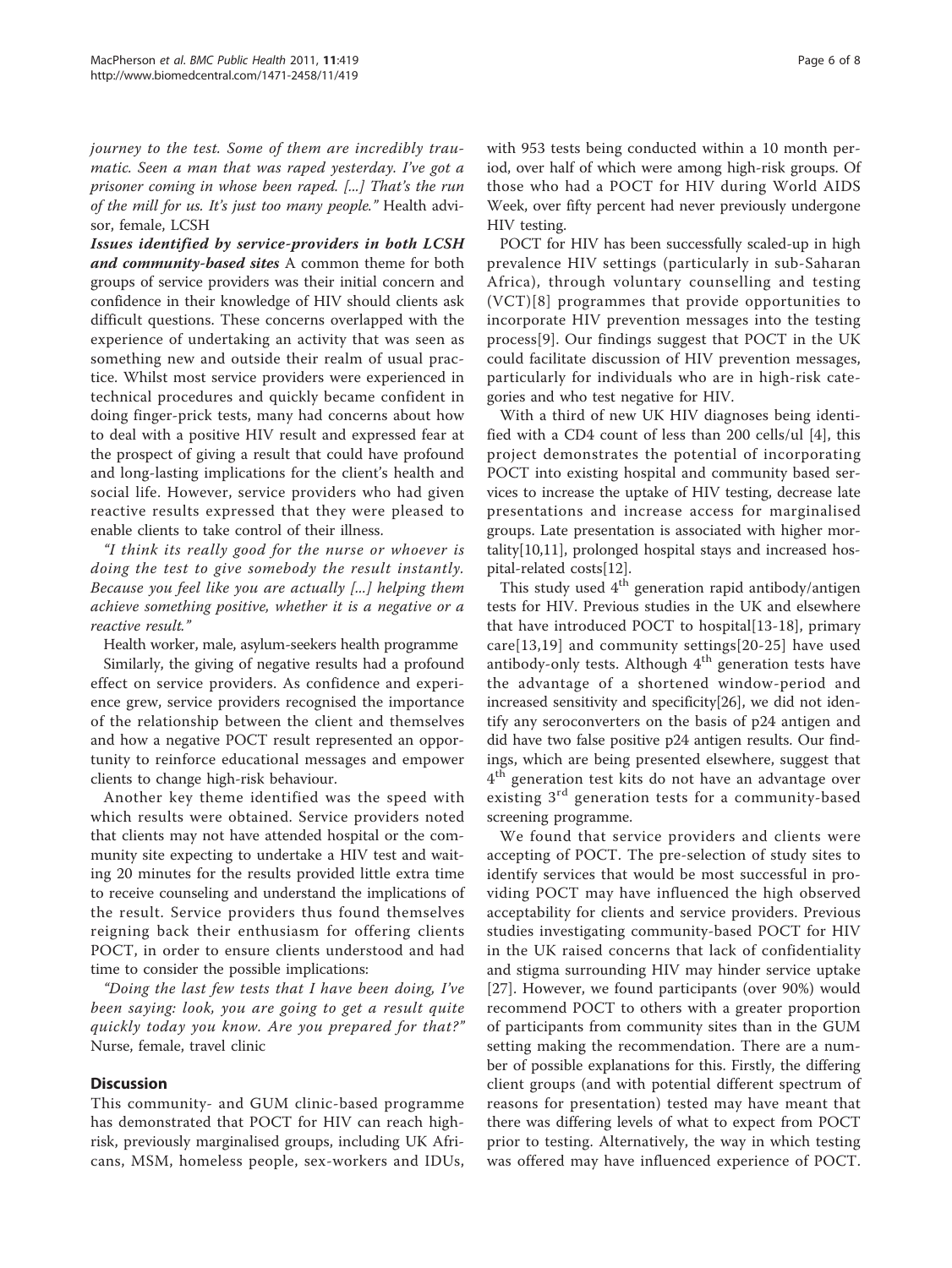journey to the test. Some of them are incredibly traumatic. Seen a man that was raped yesterday. I've got a prisoner coming in whose been raped. [...] That's the run of the mill for us. It's just too many people." Health advisor, female, LCSH

Issues identified by service-providers in both LCSH and community-based sites A common theme for both groups of service providers was their initial concern and confidence in their knowledge of HIV should clients ask difficult questions. These concerns overlapped with the experience of undertaking an activity that was seen as something new and outside their realm of usual practice. Whilst most service providers were experienced in technical procedures and quickly became confident in doing finger-prick tests, many had concerns about how to deal with a positive HIV result and expressed fear at the prospect of giving a result that could have profound and long-lasting implications for the client's health and social life. However, service providers who had given reactive results expressed that they were pleased to enable clients to take control of their illness.

"I think its really good for the nurse or whoever is doing the test to give somebody the result instantly. Because you feel like you are actually [...] helping them achieve something positive, whether it is a negative or a reactive result."

Health worker, male, asylum-seekers health programme

Similarly, the giving of negative results had a profound effect on service providers. As confidence and experience grew, service providers recognised the importance of the relationship between the client and themselves and how a negative POCT result represented an opportunity to reinforce educational messages and empower clients to change high-risk behaviour.

Another key theme identified was the speed with which results were obtained. Service providers noted that clients may not have attended hospital or the community site expecting to undertake a HIV test and waiting 20 minutes for the results provided little extra time to receive counseling and understand the implications of the result. Service providers thus found themselves reigning back their enthusiasm for offering clients POCT, in order to ensure clients understood and had time to consider the possible implications:

"Doing the last few tests that I have been doing, I've been saying: look, you are going to get a result quite quickly today you know. Are you prepared for that?" Nurse, female, travel clinic

#### **Discussion**

This community- and GUM clinic-based programme has demonstrated that POCT for HIV can reach highrisk, previously marginalised groups, including UK Africans, MSM, homeless people, sex-workers and IDUs,

with 953 tests being conducted within a 10 month period, over half of which were among high-risk groups. Of those who had a POCT for HIV during World AIDS Week, over fifty percent had never previously undergone HIV testing.

POCT for HIV has been successfully scaled-up in high prevalence HIV settings (particularly in sub-Saharan Africa), through voluntary counselling and testing (VCT)[[8\]](#page-7-0) programmes that provide opportunities to incorporate HIV prevention messages into the testing process[\[9\]](#page-7-0). Our findings suggest that POCT in the UK could facilitate discussion of HIV prevention messages, particularly for individuals who are in high-risk categories and who test negative for HIV.

With a third of new UK HIV diagnoses being identified with a CD4 count of less than 200 cells/ul [[4\]](#page-6-0), this project demonstrates the potential of incorporating POCT into existing hospital and community based services to increase the uptake of HIV testing, decrease late presentations and increase access for marginalised groups. Late presentation is associated with higher mortality[[10,11\]](#page-7-0), prolonged hospital stays and increased hospital-related costs[\[12](#page-7-0)].

This study used  $4<sup>th</sup>$  generation rapid antibody/antigen tests for HIV. Previous studies in the UK and elsewhere that have introduced POCT to hospital[\[13](#page-7-0)-[18](#page-7-0)], primary care[[13](#page-7-0),[19](#page-7-0)] and community settings[\[20-25\]](#page-7-0) have used antibody-only tests. Although 4<sup>th</sup> generation tests have the advantage of a shortened window-period and increased sensitivity and specificity[\[26](#page-7-0)], we did not identify any seroconverters on the basis of p24 antigen and did have two false positive p24 antigen results. Our findings, which are being presented elsewhere, suggest that  $4<sup>th</sup>$  generation test kits do not have an advantage over existing 3<sup>rd</sup> generation tests for a community-based screening programme.

We found that service providers and clients were accepting of POCT. The pre-selection of study sites to identify services that would be most successful in providing POCT may have influenced the high observed acceptability for clients and service providers. Previous studies investigating community-based POCT for HIV in the UK raised concerns that lack of confidentiality and stigma surrounding HIV may hinder service uptake [[27](#page-7-0)]. However, we found participants (over 90%) would recommend POCT to others with a greater proportion of participants from community sites than in the GUM setting making the recommendation. There are a number of possible explanations for this. Firstly, the differing client groups (and with potential different spectrum of reasons for presentation) tested may have meant that there was differing levels of what to expect from POCT prior to testing. Alternatively, the way in which testing was offered may have influenced experience of POCT.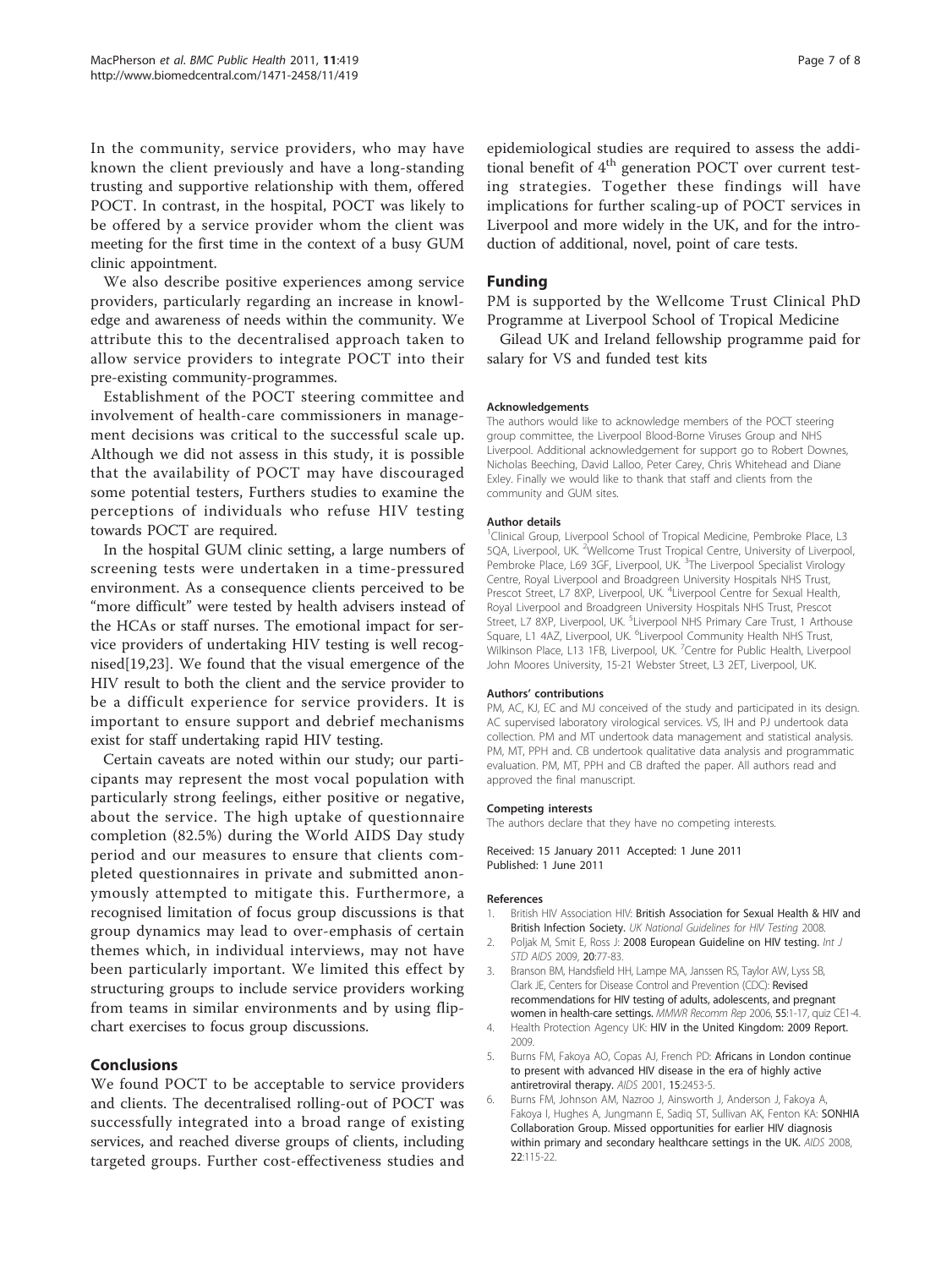<span id="page-6-0"></span>In the community, service providers, who may have known the client previously and have a long-standing trusting and supportive relationship with them, offered POCT. In contrast, in the hospital, POCT was likely to be offered by a service provider whom the client was meeting for the first time in the context of a busy GUM clinic appointment.

We also describe positive experiences among service providers, particularly regarding an increase in knowledge and awareness of needs within the community. We attribute this to the decentralised approach taken to allow service providers to integrate POCT into their pre-existing community-programmes.

Establishment of the POCT steering committee and involvement of health-care commissioners in management decisions was critical to the successful scale up. Although we did not assess in this study, it is possible that the availability of POCT may have discouraged some potential testers, Furthers studies to examine the perceptions of individuals who refuse HIV testing towards POCT are required.

In the hospital GUM clinic setting, a large numbers of screening tests were undertaken in a time-pressured environment. As a consequence clients perceived to be "more difficult" were tested by health advisers instead of the HCAs or staff nurses. The emotional impact for service providers of undertaking HIV testing is well recognised[\[19,23](#page-7-0)]. We found that the visual emergence of the HIV result to both the client and the service provider to be a difficult experience for service providers. It is important to ensure support and debrief mechanisms exist for staff undertaking rapid HIV testing.

Certain caveats are noted within our study; our participants may represent the most vocal population with particularly strong feelings, either positive or negative, about the service. The high uptake of questionnaire completion (82.5%) during the World AIDS Day study period and our measures to ensure that clients completed questionnaires in private and submitted anonymously attempted to mitigate this. Furthermore, a recognised limitation of focus group discussions is that group dynamics may lead to over-emphasis of certain themes which, in individual interviews, may not have been particularly important. We limited this effect by structuring groups to include service providers working from teams in similar environments and by using flipchart exercises to focus group discussions.

#### Conclusions

We found POCT to be acceptable to service providers and clients. The decentralised rolling-out of POCT was successfully integrated into a broad range of existing services, and reached diverse groups of clients, including targeted groups. Further cost-effectiveness studies and epidemiological studies are required to assess the additional benefit of  $4<sup>th</sup>$  generation POCT over current testing strategies. Together these findings will have implications for further scaling-up of POCT services in Liverpool and more widely in the UK, and for the introduction of additional, novel, point of care tests.

### Funding

PM is supported by the Wellcome Trust Clinical PhD Programme at Liverpool School of Tropical Medicine

Gilead UK and Ireland fellowship programme paid for salary for VS and funded test kits

#### Acknowledgements

The authors would like to acknowledge members of the POCT steering group committee, the Liverpool Blood-Borne Viruses Group and NHS Liverpool. Additional acknowledgement for support go to Robert Downes, Nicholas Beeching, David Lalloo, Peter Carey, Chris Whitehead and Diane Exley. Finally we would like to thank that staff and clients from the community and GUM sites.

#### Author details

<sup>1</sup>Clinical Group, Liverpool School of Tropical Medicine, Pembroke Place, L3 5QA, Liverpool, UK. <sup>2</sup>Wellcome Trust Tropical Centre, University of Liverpool, Pembroke Place, L69 3GF, Liverpool, UK. <sup>3</sup>The Liverpool Specialist Virology Centre, Royal Liverpool and Broadgreen University Hospitals NHS Trust, Prescot Street, L7 8XP, Liverpool, UK. <sup>4</sup>Liverpool Centre for Sexual Health Royal Liverpool and Broadgreen University Hospitals NHS Trust, Prescot Street, L7 8XP, Liverpool, UK. <sup>5</sup>Liverpool NHS Primary Care Trust, 1 Arthouse Square, L1 4AZ, Liverpool, UK. <sup>6</sup>Liverpool Community Health NHS Trust Wilkinson Place, L13 1FB, Liverpool, UK. <sup>7</sup>Centre for Public Health, Liverpool John Moores University, 15-21 Webster Street, L3 2ET, Liverpool, UK.

#### Authors' contributions

PM, AC, KJ, EC and MJ conceived of the study and participated in its design. AC supervised laboratory virological services. VS, IH and PJ undertook data collection. PM and MT undertook data management and statistical analysis. PM, MT, PPH and. CB undertook qualitative data analysis and programmatic evaluation. PM, MT, PPH and CB drafted the paper. All authors read and approved the final manuscript.

#### Competing interests

The authors declare that they have no competing interests.

Received: 15 January 2011 Accepted: 1 June 2011 Published: 1 June 2011

#### References

- 1. British HIV Association HIV: British Association for Sexual Health & HIV and British Infection Society. UK National Guidelines for HIV Testing 2008.
- 2. Poljak M, Smit E, Ross J: [2008 European Guideline on HIV testing.](http://www.ncbi.nlm.nih.gov/pubmed/19182051?dopt=Abstract) Int J STD AIDS 2009, 20:77-83.
- 3. Branson BM, Handsfield HH, Lampe MA, Janssen RS, Taylor AW, Lyss SB, Clark JE, Centers for Disease Control and Prevention (CDC): [Revised](http://www.ncbi.nlm.nih.gov/pubmed/17167397?dopt=Abstract) [recommendations for HIV testing of adults, adolescents, and pregnant](http://www.ncbi.nlm.nih.gov/pubmed/17167397?dopt=Abstract) [women in health-care settings.](http://www.ncbi.nlm.nih.gov/pubmed/17167397?dopt=Abstract) MMWR Recomm Rep 2006, 55:1-17, quiz CE1-4.
- 4. Health Protection Agency UK: HIV in the United Kingdom: 2009 Report. 2009.
- 5. Burns FM, Fakoya AO, Copas AJ, French PD: [Africans in London continue](http://www.ncbi.nlm.nih.gov/pubmed/11774832?dopt=Abstract) [to present with advanced HIV disease in the era of highly active](http://www.ncbi.nlm.nih.gov/pubmed/11774832?dopt=Abstract) [antiretroviral therapy.](http://www.ncbi.nlm.nih.gov/pubmed/11774832?dopt=Abstract) AIDS 2001, 15:2453-5.
- 6. Burns FM, Johnson AM, Nazroo J, Ainsworth J, Anderson J, Fakoya A, Fakoya I, Hughes A, Jungmann E, Sadiq ST, Sullivan AK, Fenton KA: [SONHIA](http://www.ncbi.nlm.nih.gov/pubmed/18090399?dopt=Abstract) [Collaboration Group. Missed opportunities for earlier HIV diagnosis](http://www.ncbi.nlm.nih.gov/pubmed/18090399?dopt=Abstract) [within primary and secondary healthcare settings in the UK.](http://www.ncbi.nlm.nih.gov/pubmed/18090399?dopt=Abstract) AIDS 2008, 22:115-22.